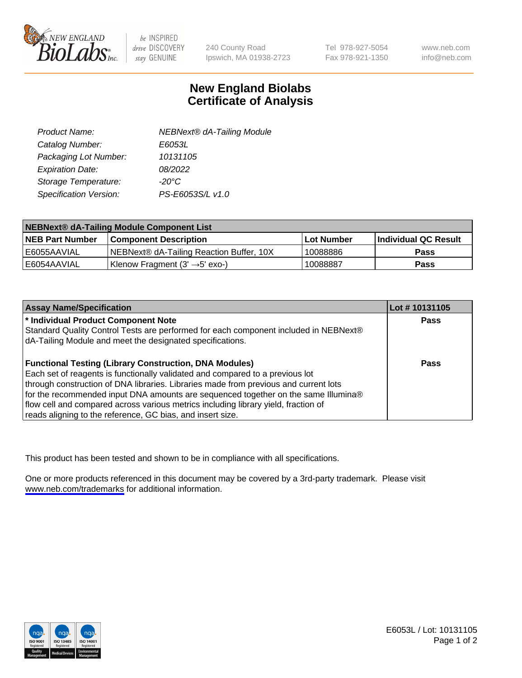

be INSPIRED drive DISCOVERY stay GENUINE

240 County Road Ipswich, MA 01938-2723 Tel 978-927-5054 Fax 978-921-1350

www.neb.com info@neb.com

## **New England Biolabs Certificate of Analysis**

| <b>NEBNext® dA-Tailing Module</b> |
|-----------------------------------|
| E6053L                            |
| 10131105                          |
| 08/2022                           |
| $-20^{\circ}$ C                   |
| PS-E6053S/L v1.0                  |
|                                   |

| NEBNext® dA-Tailing Module Component List |                                            |            |                      |  |
|-------------------------------------------|--------------------------------------------|------------|----------------------|--|
| <b>NEB Part Number</b>                    | <b>Component Description</b>               | Lot Number | Individual QC Result |  |
| I E6055AAVIAL                             | NEBNext® dA-Tailing Reaction Buffer, 10X   | 10088886   | <b>Pass</b>          |  |
| IE6054AAVIAL                              | Klenow Fragment (3' $\rightarrow$ 5' exo-) | 10088887   | <b>Pass</b>          |  |

| <b>Assay Name/Specification</b>                                                      | Lot #10131105 |
|--------------------------------------------------------------------------------------|---------------|
| <sup>*</sup> Individual Product Component Note                                       | <b>Pass</b>   |
| Standard Quality Control Tests are performed for each component included in NEBNext® |               |
| dA-Tailing Module and meet the designated specifications.                            |               |
|                                                                                      |               |
| <b>Functional Testing (Library Construction, DNA Modules)</b>                        | Pass          |
| Each set of reagents is functionally validated and compared to a previous lot        |               |
| through construction of DNA libraries. Libraries made from previous and current lots |               |
| for the recommended input DNA amounts are sequenced together on the same Illumina®   |               |
| flow cell and compared across various metrics including library yield, fraction of   |               |
| reads aligning to the reference, GC bias, and insert size.                           |               |

This product has been tested and shown to be in compliance with all specifications.

One or more products referenced in this document may be covered by a 3rd-party trademark. Please visit <www.neb.com/trademarks>for additional information.